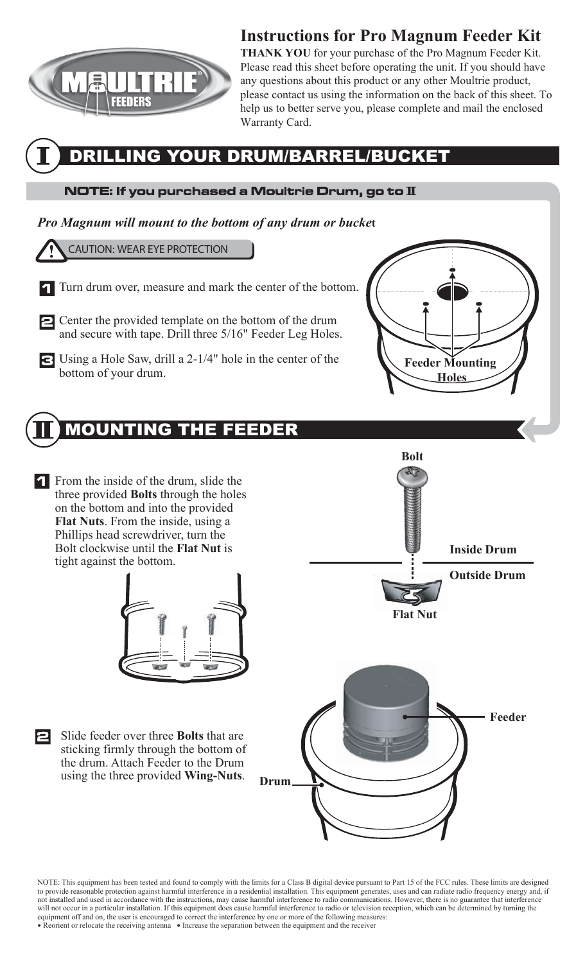

## **Instructions for Pro Magnum Feeder Kit**

**THANK YOU** for your purchase of the Pro Magnum Feeder Kit. Please read this sheet before operating the unit. If you should have any questions about this product or any other Moultrie product, please contact us using the information on the back of this sheet. To help us to better serve you, please complete and mail the enclosed Warranty Card.

### DRILLING YOUR DRUM/BARREL/BUCKET

#### $\overline{\text{NOTE}}$ : If you purchased a Moultrie Drum, go to  $\overline{\text{I}}$

#### *Pro Magnum will mount to the bottom of any drum or bucke***t**

CAUTION: WEAR EYE PROTECTION

- Turn drum over, measure and mark the center of the bottom.
- Center the provided template on the bottom of the drum and secure with tape. Drill three 5/16" Feeder Leg Holes.
- Using a Hole Saw, drill a 2-1/4" hole in the center of the bottom of your drum.

## MOUNTING THE FEEDER

From the inside of the drum, slide the three provided **Bolts** through the holes on the bottom and into the provided **Flat Nuts**. From the inside, using a Phillips head screwdriver, turn the Bolt clockwise until the **Flat Nut** is tight against the bottom.



Slide feeder over three **Bolts** that are 2 sticking firmly through the bottom of the drum. Attach Feeder to the Drum using the three provided **Wing-Nuts**. **Drum** 



**Feeder Mounting Holes** 

NOTE: This equipment has been tested and found to comply with the limits for a Class B digital device pursuant to Part 15 of the FCC rules. These limits are designed to provide reasonable protection against harmful interference in a residential installation. This equipment generates, uses and can radiate radio frequency energy and, if not installed and used in accordance with the instructions, may cause harmful interference to radio communications. However, there is no guarantee that interference will not occur in a particular installation. If this equipment does cause harmful interference to radio or television reception, which can be determined by turning the equipment off and on, the user is encouraged to correct the interference by one or more of the following measures: • Reorient or relocate the receiving antenna • Increase the separation between the equipment and the receiver